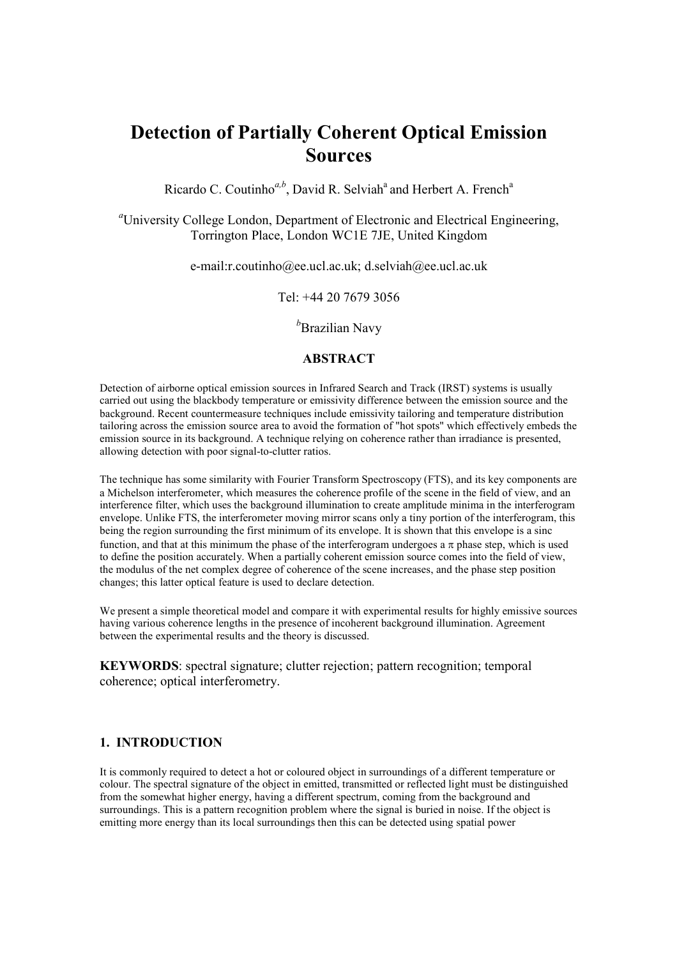# Detection of Partially Coherent Optical Emission Sources

Ricardo C. Coutinho<sup>a,b</sup>, David R. Selviah<sup>a</sup> and Herbert A. French<sup>a</sup>

<sup>a</sup>University College London, Department of Electronic and Electrical Engineering, Torrington Place, London WC1E 7JE, United Kingdom

e-mail:r.coutinho@ee.ucl.ac.uk; d.selviah@ee.ucl.ac.uk

Tel: +44 20 7679 3056

 $b$ Brazilian Navy

# ABSTRACT

Detection of airborne optical emission sources in Infrared Search and Track (IRST) systems is usually carried out using the blackbody temperature or emissivity difference between the emission source and the background. Recent countermeasure techniques include emissivity tailoring and temperature distribution tailoring across the emission source area to avoid the formation of "hot spots" which effectively embeds the emission source in its background. A technique relying on coherence rather than irradiance is presented, allowing detection with poor signal-to-clutter ratios.

The technique has some similarity with Fourier Transform Spectroscopy (FTS), and its key components are a Michelson interferometer, which measures the coherence profile of the scene in the field of view, and an interference filter, which uses the background illumination to create amplitude minima in the interferogram envelope. Unlike FTS, the interferometer moving mirror scans only a tiny portion of the interferogram, this being the region surrounding the first minimum of its envelope. It is shown that this envelope is a sinc function, and that at this minimum the phase of the interferogram undergoes a  $\pi$  phase step, which is used to define the position accurately. When a partially coherent emission source comes into the field of view, the modulus of the net complex degree of coherence of the scene increases, and the phase step position changes; this latter optical feature is used to declare detection.

We present a simple theoretical model and compare it with experimental results for highly emissive sources having various coherence lengths in the presence of incoherent background illumination. Agreement between the experimental results and the theory is discussed.

KEYWORDS: spectral signature; clutter rejection; pattern recognition; temporal coherence; optical interferometry.

# 1. INTRODUCTION

It is commonly required to detect a hot or coloured object in surroundings of a different temperature or colour. The spectral signature of the object in emitted, transmitted or reflected light must be distinguished from the somewhat higher energy, having a different spectrum, coming from the background and surroundings. This is a pattern recognition problem where the signal is buried in noise. If the object is emitting more energy than its local surroundings then this can be detected using spatial power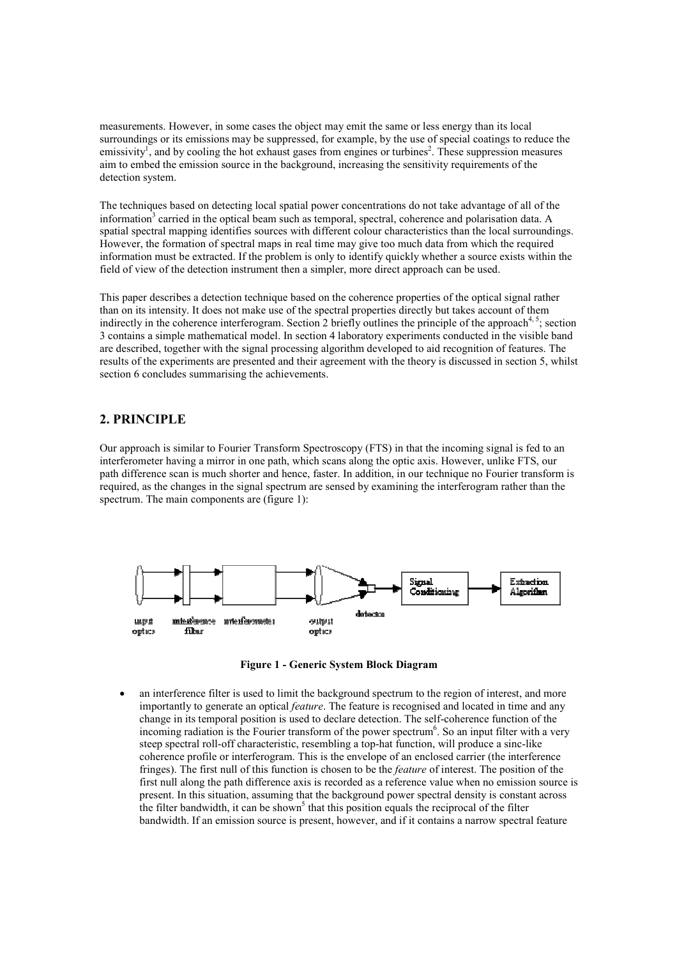measurements. However, in some cases the object may emit the same or less energy than its local surroundings or its emissions may be suppressed, for example, by the use of special coatings to reduce the emissivity<sup>1</sup>, and by cooling the hot exhaust gases from engines or turbines<sup>2</sup>. These suppression measures aim to embed the emission source in the background, increasing the sensitivity requirements of the detection system.

The techniques based on detecting local spatial power concentrations do not take advantage of all of the information<sup>3</sup> carried in the optical beam such as temporal, spectral, coherence and polarisation data. A spatial spectral mapping identifies sources with different colour characteristics than the local surroundings. However, the formation of spectral maps in real time may give too much data from which the required information must be extracted. If the problem is only to identify quickly whether a source exists within the field of view of the detection instrument then a simpler, more direct approach can be used.

This paper describes a detection technique based on the coherence properties of the optical signal rather than on its intensity. It does not make use of the spectral properties directly but takes account of them indirectly in the coherence interferogram. Section 2 briefly outlines the principle of the approach<sup>4, 5</sup>; section 3 contains a simple mathematical model. In section 4 laboratory experiments conducted in the visible band are described, together with the signal processing algorithm developed to aid recognition of features. The results of the experiments are presented and their agreement with the theory is discussed in section 5, whilst section 6 concludes summarising the achievements.

## 2. PRINCIPLE

Our approach is similar to Fourier Transform Spectroscopy (FTS) in that the incoming signal is fed to an interferometer having a mirror in one path, which scans along the optic axis. However, unlike FTS, our path difference scan is much shorter and hence, faster. In addition, in our technique no Fourier transform is required, as the changes in the signal spectrum are sensed by examining the interferogram rather than the spectrum. The main components are (figure 1):



Figure 1 - Generic System Block Diagram

• an interference filter is used to limit the background spectrum to the region of interest, and more importantly to generate an optical feature. The feature is recognised and located in time and any change in its temporal position is used to declare detection. The self-coherence function of the incoming radiation is the Fourier transform of the power spectrum<sup>6</sup>. So an input filter with a very steep spectral roll-off characteristic, resembling a top-hat function, will produce a sinc-like coherence profile or interferogram. This is the envelope of an enclosed carrier (the interference fringes). The first null of this function is chosen to be the feature of interest. The position of the first null along the path difference axis is recorded as a reference value when no emission source is present. In this situation, assuming that the background power spectral density is constant across the filter bandwidth, it can be shown<sup>5</sup> that this position equals the reciprocal of the filter bandwidth. If an emission source is present, however, and if it contains a narrow spectral feature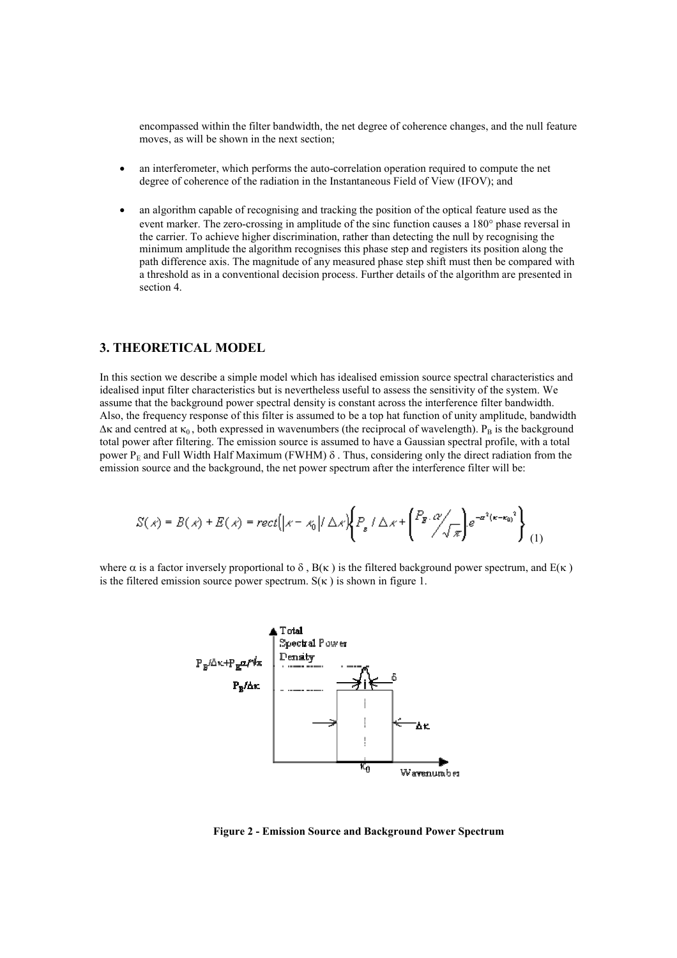encompassed within the filter bandwidth, the net degree of coherence changes, and the null feature moves, as will be shown in the next section;

- an interferometer, which performs the auto-correlation operation required to compute the net degree of coherence of the radiation in the Instantaneous Field of View (IFOV); and
- an algorithm capable of recognising and tracking the position of the optical feature used as the event marker. The zero-crossing in amplitude of the sinc function causes a 180° phase reversal in the carrier. To achieve higher discrimination, rather than detecting the null by recognising the minimum amplitude the algorithm recognises this phase step and registers its position along the path difference axis. The magnitude of any measured phase step shift must then be compared with a threshold as in a conventional decision process. Further details of the algorithm are presented in section 4.

#### 3. THEORETICAL MODEL

In this section we describe a simple model which has idealised emission source spectral characteristics and idealised input filter characteristics but is nevertheless useful to assess the sensitivity of the system. We assume that the background power spectral density is constant across the interference filter bandwidth. Also, the frequency response of this filter is assumed to be a top hat function of unity amplitude, bandwidth  $\Delta$ κ and centred at  $\kappa_0$ , both expressed in wavenumbers (the reciprocal of wavelength). P<sub>B</sub> is the background total power after filtering. The emission source is assumed to have a Gaussian spectral profile, with a total power  $P_F$  and Full Width Half Maximum (FWHM) δ. Thus, considering only the direct radiation from the emission source and the background, the net power spectrum after the interference filter will be:

$$
S(x) = B(x) + E(x) = rect(|x - x_0| / \Delta x) \left\{ P_s / \Delta x + \left( \frac{P_s \cdot \alpha}{\sqrt{x}} \right) e^{-\alpha^2 (\kappa - \kappa_0)^2} \right\}
$$
(1)

where  $\alpha$  is a factor inversely proportional to  $\delta$ ,  $B(\kappa)$  is the filtered background power spectrum, and  $E(\kappa)$ is the filtered emission source power spectrum.  $S(\kappa)$  is shown in figure 1.



Figure 2 - Emission Source and Background Power Spectrum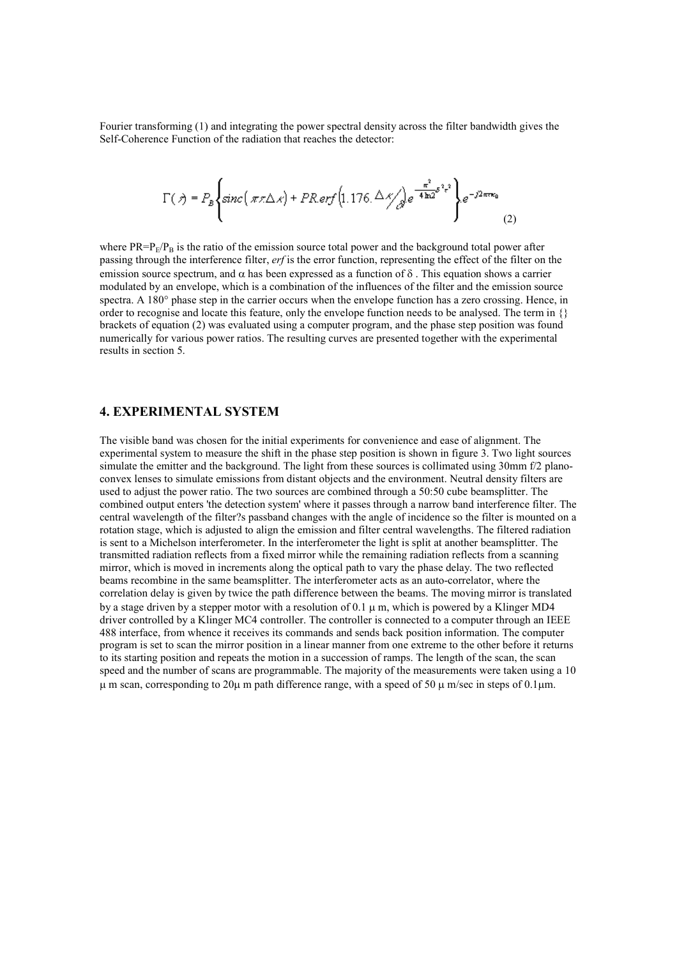Fourier transforming (1) and integrating the power spectral density across the filter bandwidth gives the Self-Coherence Function of the radiation that reaches the detector:

$$
\Gamma(\tau) = P_B \left\{ \text{sinc}\left(\pi \tau \Delta \kappa\right) + PR.\text{erf}\left(1.176.\Delta \kappa/\right) e^{\frac{\pi^2}{4\ln 2} \delta^2 \tau^2} \right\} e^{-j2\pi \tau \kappa_0} \tag{2}
$$

where  $PR = P_E/P_B$  is the ratio of the emission source total power and the background total power after passing through the interference filter, erf is the error function, representing the effect of the filter on the emission source spectrum, and  $\alpha$  has been expressed as a function of  $\delta$ . This equation shows a carrier modulated by an envelope, which is a combination of the influences of the filter and the emission source spectra. A 180° phase step in the carrier occurs when the envelope function has a zero crossing. Hence, in order to recognise and locate this feature, only the envelope function needs to be analysed. The term in  $\{\}$ brackets of equation (2) was evaluated using a computer program, and the phase step position was found numerically for various power ratios. The resulting curves are presented together with the experimental results in section 5.

## 4. EXPERIMENTAL SYSTEM

The visible band was chosen for the initial experiments for convenience and ease of alignment. The experimental system to measure the shift in the phase step position is shown in figure 3. Two light sources simulate the emitter and the background. The light from these sources is collimated using 30mm f/2 planoconvex lenses to simulate emissions from distant objects and the environment. Neutral density filters are used to adjust the power ratio. The two sources are combined through a 50:50 cube beamsplitter. The combined output enters 'the detection system' where it passes through a narrow band interference filter. The central wavelength of the filter?s passband changes with the angle of incidence so the filter is mounted on a rotation stage, which is adjusted to align the emission and filter central wavelengths. The filtered radiation is sent to a Michelson interferometer. In the interferometer the light is split at another beamsplitter. The transmitted radiation reflects from a fixed mirror while the remaining radiation reflects from a scanning mirror, which is moved in increments along the optical path to vary the phase delay. The two reflected beams recombine in the same beamsplitter. The interferometer acts as an auto-correlator, where the correlation delay is given by twice the path difference between the beams. The moving mirror is translated by a stage driven by a stepper motor with a resolution of  $0.1 \mu$  m, which is powered by a Klinger MD4 driver controlled by a Klinger MC4 controller. The controller is connected to a computer through an IEEE 488 interface, from whence it receives its commands and sends back position information. The computer program is set to scan the mirror position in a linear manner from one extreme to the other before it returns to its starting position and repeats the motion in a succession of ramps. The length of the scan, the scan speed and the number of scans are programmable. The majority of the measurements were taken using a 10 u m scan, corresponding to 20u m path difference range, with a speed of 50 u m/sec in steps of 0.1 um.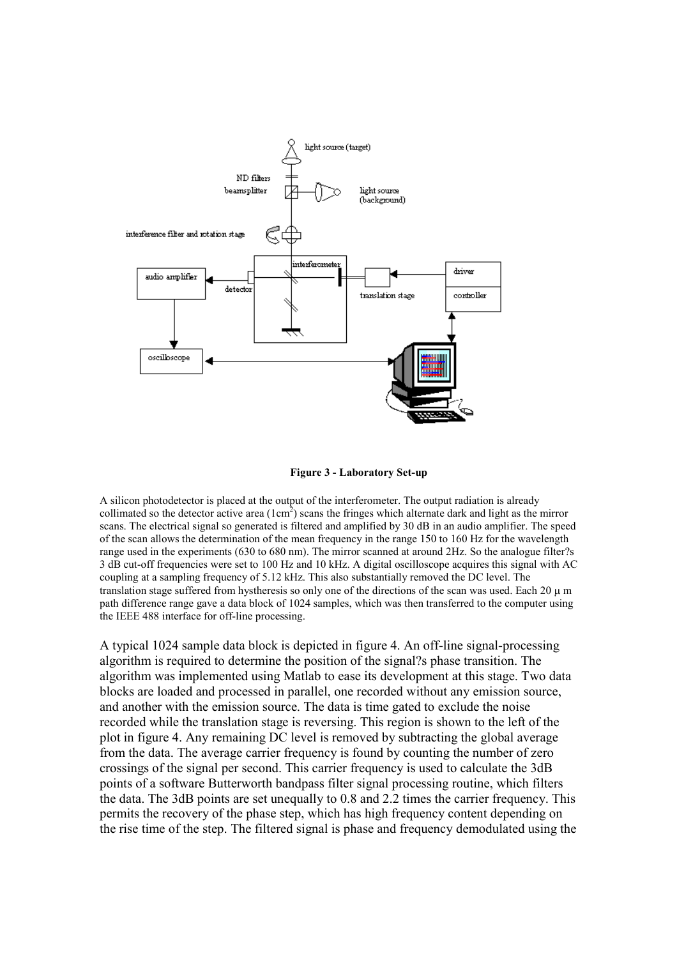

Figure 3 - Laboratory Set-up

A silicon photodetector is placed at the output of the interferometer. The output radiation is already collimated so the detector active area  $(1cm<sup>2</sup>)$  scans the fringes which alternate dark and light as the mirror scans. The electrical signal so generated is filtered and amplified by 30 dB in an audio amplifier. The speed of the scan allows the determination of the mean frequency in the range 150 to 160 Hz for the wavelength range used in the experiments (630 to 680 nm). The mirror scanned at around 2Hz. So the analogue filter?s 3 dB cut-off frequencies were set to 100 Hz and 10 kHz. A digital oscilloscope acquires this signal with AC coupling at a sampling frequency of 5.12 kHz. This also substantially removed the DC level. The translation stage suffered from hystheresis so only one of the directions of the scan was used. Each 20  $\mu$  m path difference range gave a data block of 1024 samples, which was then transferred to the computer using the IEEE 488 interface for off-line processing.

A typical 1024 sample data block is depicted in figure 4. An off-line signal-processing algorithm is required to determine the position of the signal?s phase transition. The algorithm was implemented using Matlab to ease its development at this stage. Two data blocks are loaded and processed in parallel, one recorded without any emission source, and another with the emission source. The data is time gated to exclude the noise recorded while the translation stage is reversing. This region is shown to the left of the plot in figure 4. Any remaining DC level is removed by subtracting the global average from the data. The average carrier frequency is found by counting the number of zero crossings of the signal per second. This carrier frequency is used to calculate the 3dB points of a software Butterworth bandpass filter signal processing routine, which filters the data. The 3dB points are set unequally to 0.8 and 2.2 times the carrier frequency. This permits the recovery of the phase step, which has high frequency content depending on the rise time of the step. The filtered signal is phase and frequency demodulated using the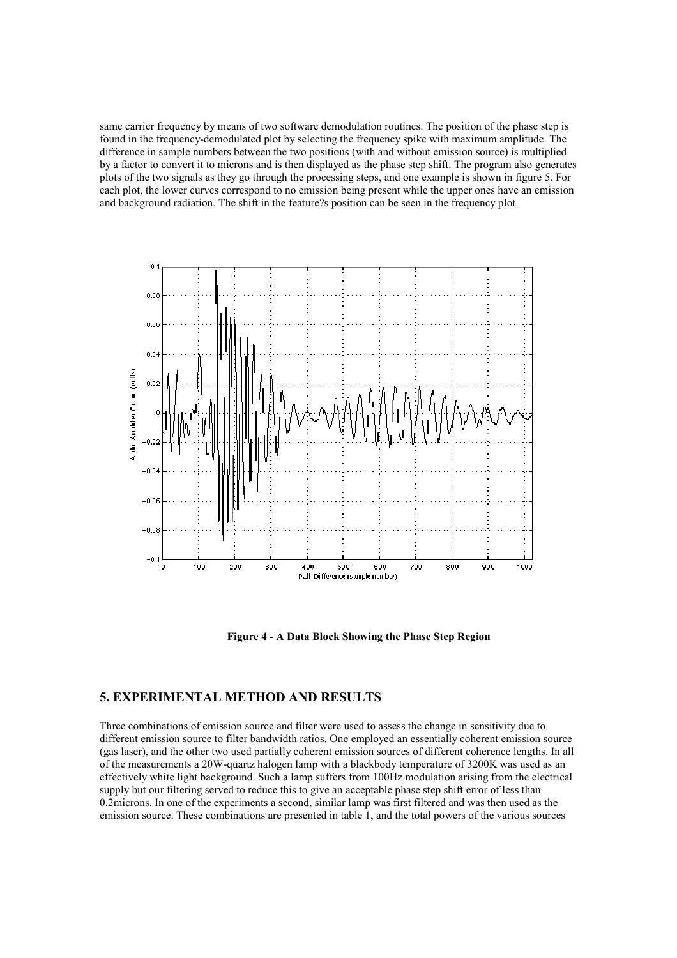same carrier frequency by means of two software demodulation routines. The position of the phase step is found in the frequency-demodulated plot by selecting the frequency spike with maximum amplitude. The difference in sample numbers between the two positions (with and without emission source) is multiplied by a factor to convert it to microns and is then displayed as the phase step shift. The program also generates plots of the two signals as they go through the processing steps, and one example is shown in figure 5. For each plot, the lower curves correspond to no emission being present while the upper ones have an emission and background radiation. The shift in the feature?s position can be seen in the frequency plot.



Figure 4 - A Data Block Showing the Phase Step Region

#### 5. EXPERIMENTAL METHOD AND RESULTS

Three combinations of emission source and filter were used to assess the change in sensitivity due to different emission source to filter bandwidth ratios. One employed an essentially coherent emission source (gas laser), and the other two used partially coherent emission sources of different coherence lengths. In all of the measurements a 20W-quartz halogen lamp with a blackbody temperature of 3200K was used as an effectively white light background. Such a lamp suffers from 100Hz modulation arising from the electrical supply but our filtering served to reduce this to give an acceptable phase step shift error of less than 0.2microns. In one of the experiments a second, similar lamp was first filtered and was then used as the emission source. These combinations are presented in table 1, and the total powers of the various sources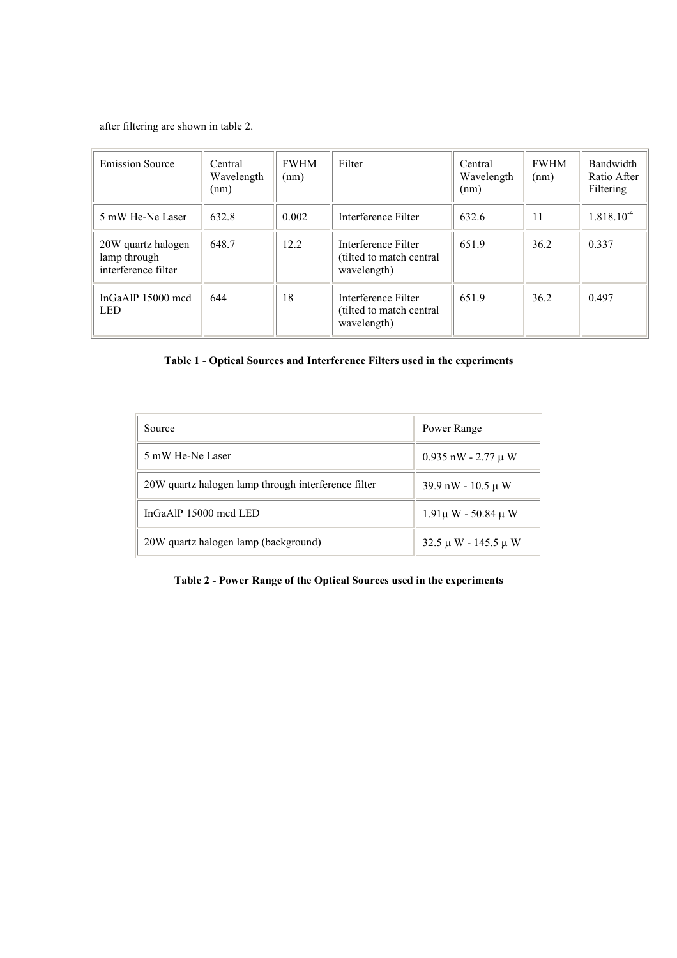after filtering are shown in table 2.

| <b>Emission Source</b>                                    | Central<br>Wavelength<br>(nm) | <b>FWHM</b><br>(nm) | Filter                                                          | Central<br>Wavelength<br>(nm) | <b>FWHM</b><br>(nm) | Bandwidth<br>Ratio After<br>Filtering |
|-----------------------------------------------------------|-------------------------------|---------------------|-----------------------------------------------------------------|-------------------------------|---------------------|---------------------------------------|
| 5 mW He-Ne Laser                                          | 632.8                         | 0.002               | Interference Filter                                             | 632.6                         | 11                  | $1.818.10^{-4}$                       |
| 20W quartz halogen<br>lamp through<br>interference filter | 648.7                         | 12.2                | Interference Filter<br>(tilted to match central)<br>wavelength) | 651.9                         | 36.2                | 0.337                                 |
| In $GaAlP$ 15000 mcd<br><b>LED</b>                        | 644                           | 18                  | Interference Filter<br>(tilted to match central<br>wavelength)  | 651.9                         | 36.2                | 0.497                                 |

# Table 1 - Optical Sources and Interference Filters used in the experiments

| Source                                              | Power Range                 |  |  |
|-----------------------------------------------------|-----------------------------|--|--|
| 5 mW He-Ne Laser                                    | $0.935$ nW - 2.77 µ W       |  |  |
| 20W quartz halogen lamp through interference filter | 39.9 nW - $10.5 \mu$ W      |  |  |
| In $GaAlP$ 15000 mcd LED                            | $1.91\mu$ W - 50.84 $\mu$ W |  |  |
| 20W quartz halogen lamp (background)                | $32.5 \mu W - 145.5 \mu W$  |  |  |

# Table 2 - Power Range of the Optical Sources used in the experiments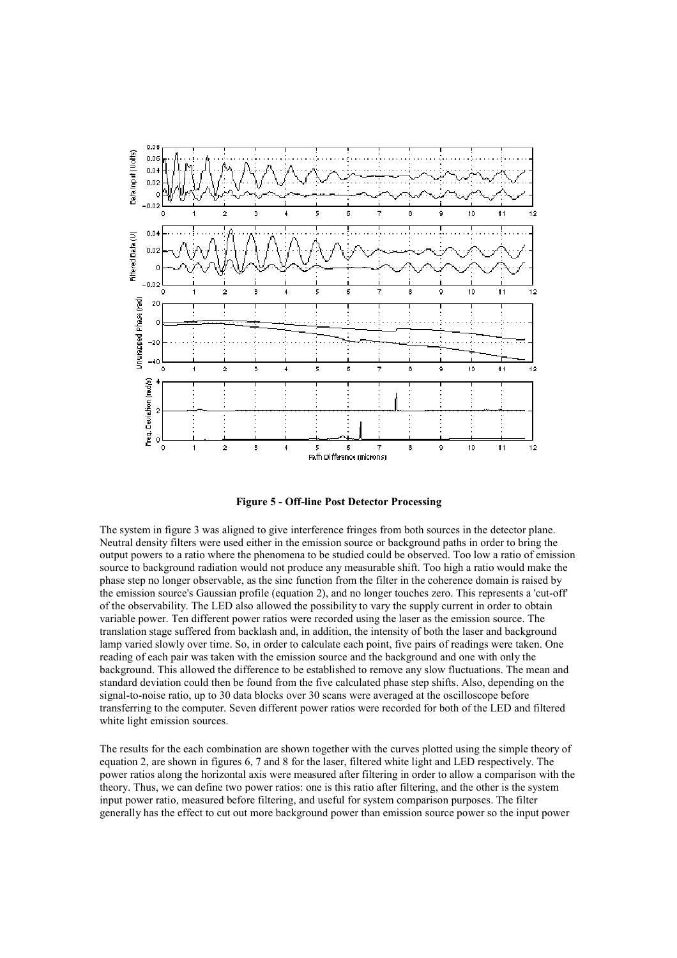

Figure 5 - Off-line Post Detector Processing

The system in figure 3 was aligned to give interference fringes from both sources in the detector plane. Neutral density filters were used either in the emission source or background paths in order to bring the output powers to a ratio where the phenomena to be studied could be observed. Too low a ratio of emission source to background radiation would not produce any measurable shift. Too high a ratio would make the phase step no longer observable, as the sinc function from the filter in the coherence domain is raised by the emission source's Gaussian profile (equation 2), and no longer touches zero. This represents a 'cut-off' of the observability. The LED also allowed the possibility to vary the supply current in order to obtain variable power. Ten different power ratios were recorded using the laser as the emission source. The translation stage suffered from backlash and, in addition, the intensity of both the laser and background lamp varied slowly over time. So, in order to calculate each point, five pairs of readings were taken. One reading of each pair was taken with the emission source and the background and one with only the background. This allowed the difference to be established to remove any slow fluctuations. The mean and standard deviation could then be found from the five calculated phase step shifts. Also, depending on the signal-to-noise ratio, up to 30 data blocks over 30 scans were averaged at the oscilloscope before transferring to the computer. Seven different power ratios were recorded for both of the LED and filtered white light emission sources.

The results for the each combination are shown together with the curves plotted using the simple theory of equation 2, are shown in figures 6, 7 and 8 for the laser, filtered white light and LED respectively. The power ratios along the horizontal axis were measured after filtering in order to allow a comparison with the theory. Thus, we can define two power ratios: one is this ratio after filtering, and the other is the system input power ratio, measured before filtering, and useful for system comparison purposes. The filter generally has the effect to cut out more background power than emission source power so the input power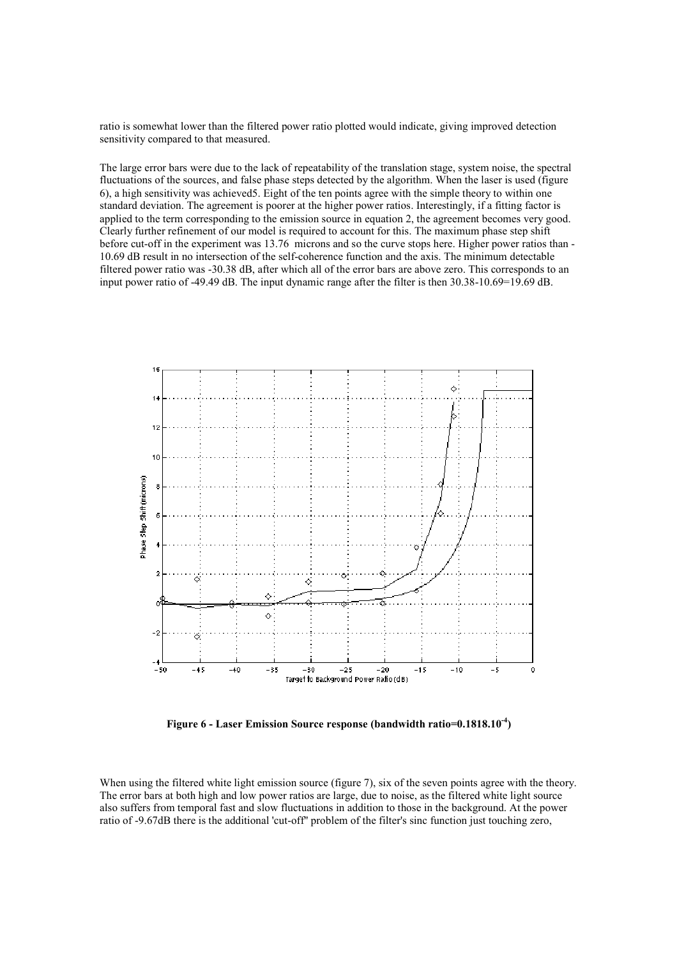ratio is somewhat lower than the filtered power ratio plotted would indicate, giving improved detection sensitivity compared to that measured.

The large error bars were due to the lack of repeatability of the translation stage, system noise, the spectral fluctuations of the sources, and false phase steps detected by the algorithm. When the laser is used (figure 6), a high sensitivity was achieved5. Eight of the ten points agree with the simple theory to within one standard deviation. The agreement is poorer at the higher power ratios. Interestingly, if a fitting factor is applied to the term corresponding to the emission source in equation 2, the agreement becomes very good. Clearly further refinement of our model is required to account for this. The maximum phase step shift before cut-off in the experiment was 13.76 microns and so the curve stops here. Higher power ratios than - 10.69 dB result in no intersection of the self-coherence function and the axis. The minimum detectable filtered power ratio was -30.38 dB, after which all of the error bars are above zero. This corresponds to an input power ratio of -49.49 dB. The input dynamic range after the filter is then 30.38-10.69=19.69 dB.



Figure 6 - Laser Emission Source response (bandwidth ratio=0.1818.10-4)

When using the filtered white light emission source (figure 7), six of the seven points agree with the theory. The error bars at both high and low power ratios are large, due to noise, as the filtered white light source also suffers from temporal fast and slow fluctuations in addition to those in the background. At the power ratio of -9.67dB there is the additional 'cut-off'' problem of the filter's sinc function just touching zero,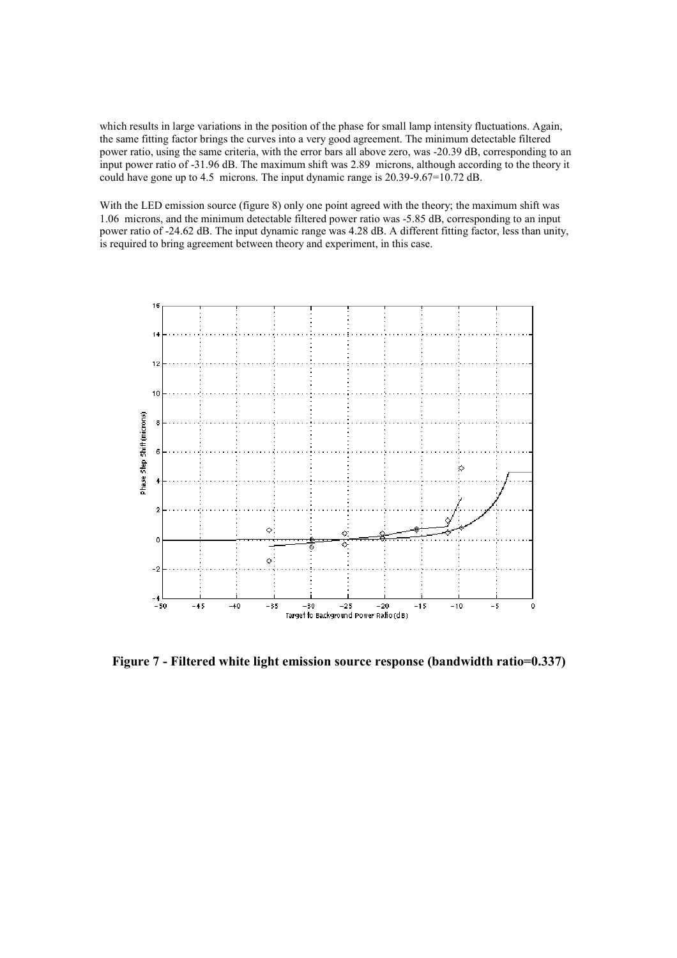which results in large variations in the position of the phase for small lamp intensity fluctuations. Again, the same fitting factor brings the curves into a very good agreement. The minimum detectable filtered power ratio, using the same criteria, with the error bars all above zero, was -20.39 dB, corresponding to an input power ratio of -31.96 dB. The maximum shift was 2.89 microns, although according to the theory it could have gone up to 4.5 microns. The input dynamic range is 20.39-9.67=10.72 dB.

With the LED emission source (figure 8) only one point agreed with the theory; the maximum shift was 1.06 microns, and the minimum detectable filtered power ratio was -5.85 dB, corresponding to an input power ratio of -24.62 dB. The input dynamic range was 4.28 dB. A different fitting factor, less than unity, is required to bring agreement between theory and experiment, in this case.



Figure 7 - Filtered white light emission source response (bandwidth ratio=0.337)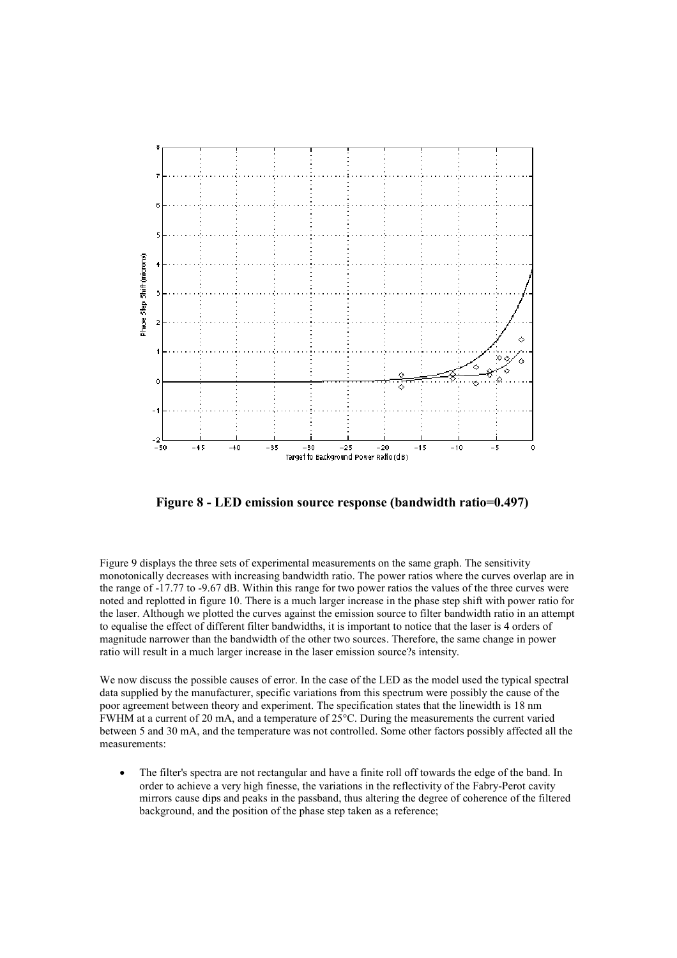

Figure 8 - LED emission source response (bandwidth ratio=0.497)

Figure 9 displays the three sets of experimental measurements on the same graph. The sensitivity monotonically decreases with increasing bandwidth ratio. The power ratios where the curves overlap are in the range of -17.77 to -9.67 dB. Within this range for two power ratios the values of the three curves were noted and replotted in figure 10. There is a much larger increase in the phase step shift with power ratio for the laser. Although we plotted the curves against the emission source to filter bandwidth ratio in an attempt to equalise the effect of different filter bandwidths, it is important to notice that the laser is 4 orders of magnitude narrower than the bandwidth of the other two sources. Therefore, the same change in power ratio will result in a much larger increase in the laser emission source?s intensity.

We now discuss the possible causes of error. In the case of the LED as the model used the typical spectral data supplied by the manufacturer, specific variations from this spectrum were possibly the cause of the poor agreement between theory and experiment. The specification states that the linewidth is 18 nm FWHM at a current of 20 mA, and a temperature of 25°C. During the measurements the current varied between 5 and 30 mA, and the temperature was not controlled. Some other factors possibly affected all the measurements:

• The filter's spectra are not rectangular and have a finite roll off towards the edge of the band. In order to achieve a very high finesse, the variations in the reflectivity of the Fabry-Perot cavity mirrors cause dips and peaks in the passband, thus altering the degree of coherence of the filtered background, and the position of the phase step taken as a reference;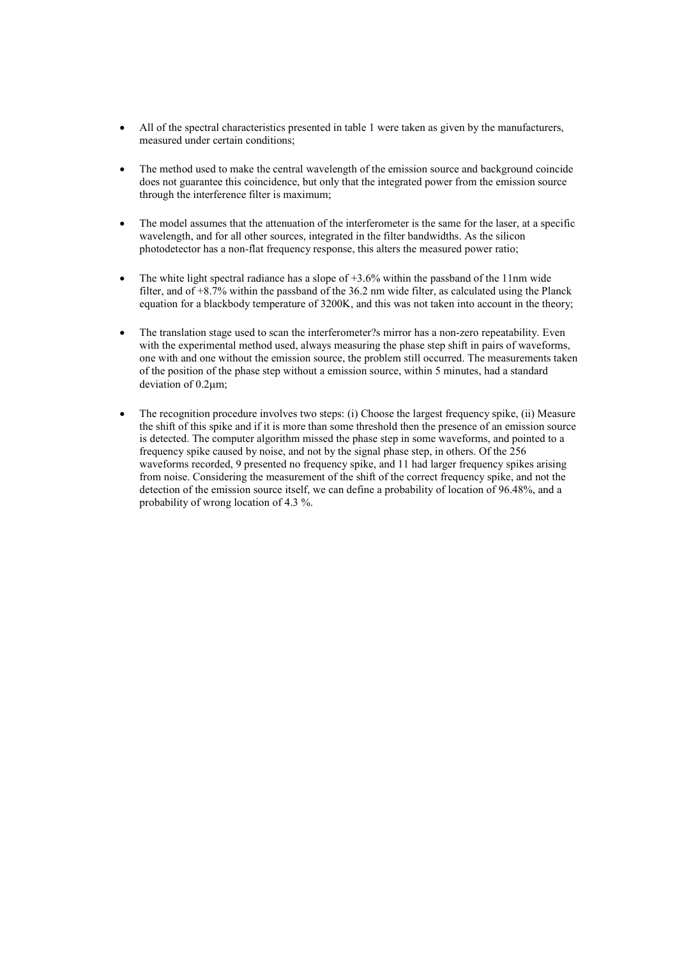- All of the spectral characteristics presented in table 1 were taken as given by the manufacturers, measured under certain conditions;
- The method used to make the central wavelength of the emission source and background coincide does not guarantee this coincidence, but only that the integrated power from the emission source through the interference filter is maximum;
- The model assumes that the attenuation of the interferometer is the same for the laser, at a specific wavelength, and for all other sources, integrated in the filter bandwidths. As the silicon photodetector has a non-flat frequency response, this alters the measured power ratio;
- The white light spectral radiance has a slope of  $+3.6\%$  within the passband of the 11nm wide filter, and of +8.7% within the passband of the 36.2 nm wide filter, as calculated using the Planck equation for a blackbody temperature of 3200K, and this was not taken into account in the theory;
- The translation stage used to scan the interferometer?s mirror has a non-zero repeatability. Even with the experimental method used, always measuring the phase step shift in pairs of waveforms, one with and one without the emission source, the problem still occurred. The measurements taken of the position of the phase step without a emission source, within 5 minutes, had a standard deviation of 0.2µm;
- The recognition procedure involves two steps: (i) Choose the largest frequency spike, (ii) Measure the shift of this spike and if it is more than some threshold then the presence of an emission source is detected. The computer algorithm missed the phase step in some waveforms, and pointed to a frequency spike caused by noise, and not by the signal phase step, in others. Of the 256 waveforms recorded, 9 presented no frequency spike, and 11 had larger frequency spikes arising from noise. Considering the measurement of the shift of the correct frequency spike, and not the detection of the emission source itself, we can define a probability of location of 96.48%, and a probability of wrong location of 4.3 %.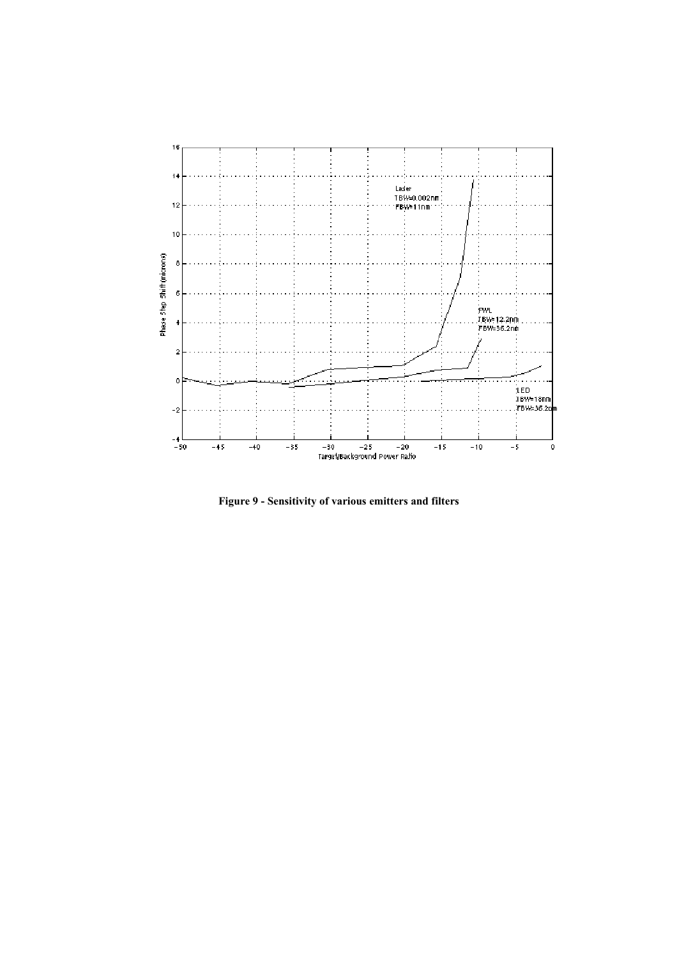

Figure 9 - Sensitivity of various emitters and filters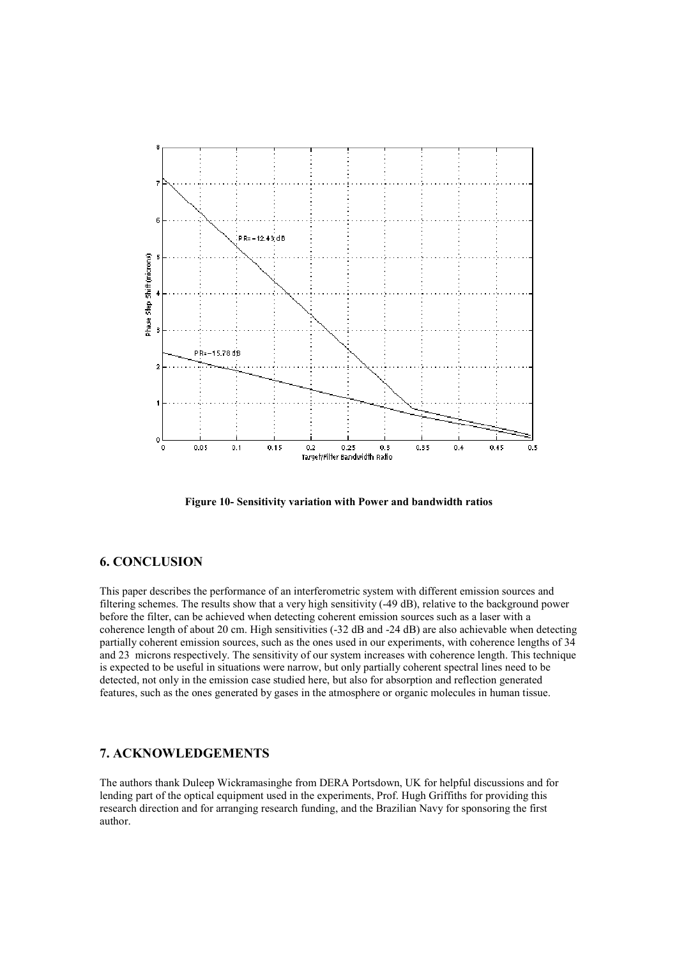

Figure 10- Sensitivity variation with Power and bandwidth ratios

#### 6. CONCLUSION

This paper describes the performance of an interferometric system with different emission sources and filtering schemes. The results show that a very high sensitivity (-49 dB), relative to the background power before the filter, can be achieved when detecting coherent emission sources such as a laser with a coherence length of about 20 cm. High sensitivities (-32 dB and -24 dB) are also achievable when detecting partially coherent emission sources, such as the ones used in our experiments, with coherence lengths of 34 and 23 microns respectively. The sensitivity of our system increases with coherence length. This technique is expected to be useful in situations were narrow, but only partially coherent spectral lines need to be detected, not only in the emission case studied here, but also for absorption and reflection generated features, such as the ones generated by gases in the atmosphere or organic molecules in human tissue.

### 7. ACKNOWLEDGEMENTS

The authors thank Duleep Wickramasinghe from DERA Portsdown, UK for helpful discussions and for lending part of the optical equipment used in the experiments, Prof. Hugh Griffiths for providing this research direction and for arranging research funding, and the Brazilian Navy for sponsoring the first author.